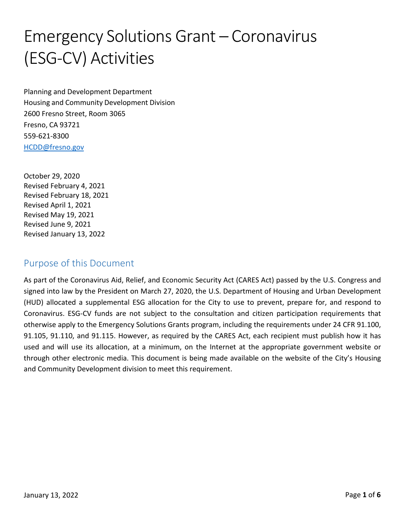# Emergency Solutions Grant – Coronavirus (ESG‐CV) Activities

Planning and Development Department Housing and Community Development Division 2600 Fresno Street, Room 3065 Fresno, CA 93721 559‐621‐8300 [HCDD@fresno.gov](mailto:HCDD@fresno.gov)

October 29, 2020 Revised February 4, 2021 Revised February 18, 2021 Revised April 1, 2021 Revised May 19, 2021 Revised June 9, 2021 Revised January 13, 2022

### Purpose of this Document

As part of the Coronavirus Aid, Relief, and Economic Security Act (CARES Act) passed by the U.S. Congress and signed into law by the President on March 27, 2020, the U.S. Department of Housing and Urban Development (HUD) allocated a supplemental ESG allocation for the City to use to prevent, prepare for, and respond to Coronavirus. ESG‐CV funds are not subject to the consultation and citizen participation requirements that otherwise apply to the Emergency Solutions Grants program, including the requirements under 24 CFR 91.100, 91.105, 91.110, and 91.115. However, as required by the CARES Act, each recipient must publish how it has used and will use its allocation, at a minimum, on the Internet at the appropriate government website or through other electronic media. This document is being made available on the website of the City's Housing and Community Development division to meet this requirement.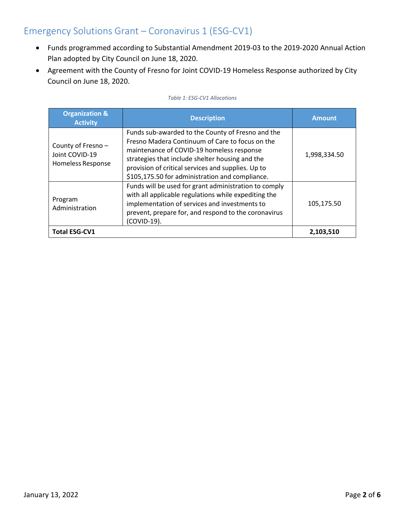## Emergency Solutions Grant – Coronavirus 1 (ESG‐CV1)

- Funds programmed according to Substantial Amendment 2019‐03 to the 2019‐2020 Annual Action Plan adopted by City Council on June 18, 2020.
- Agreement with the County of Fresno for Joint COVID‐19 Homeless Response authorized by City Council on June 18, 2020.

| <b>Organization &amp;</b><br><b>Activity</b>                    | <b>Description</b>                                                                                                                                                                                                                                                                                            | <b>Amount</b> |
|-----------------------------------------------------------------|---------------------------------------------------------------------------------------------------------------------------------------------------------------------------------------------------------------------------------------------------------------------------------------------------------------|---------------|
| County of Fresno-<br>Joint COVID-19<br><b>Homeless Response</b> | Funds sub-awarded to the County of Fresno and the<br>Fresno Madera Continuum of Care to focus on the<br>maintenance of COVID-19 homeless response<br>strategies that include shelter housing and the<br>provision of critical services and supplies. Up to<br>\$105,175.50 for administration and compliance. | 1,998,334.50  |
| Program<br>Administration                                       | Funds will be used for grant administration to comply<br>with all applicable regulations while expediting the<br>implementation of services and investments to<br>prevent, prepare for, and respond to the coronavirus<br>(COVID-19).                                                                         | 105,175.50    |
| <b>Total ESG-CV1</b>                                            |                                                                                                                                                                                                                                                                                                               | 2,103,510     |

### *Table 1: ESG‐CV1 Allocations*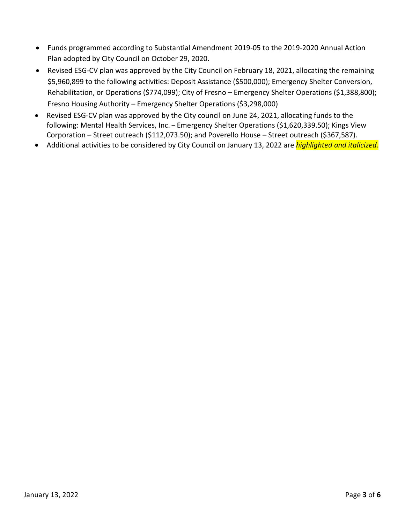- Funds programmed according to Substantial Amendment 2019‐05 to the 2019‐2020 Annual Action Plan adopted by City Council on October 29, 2020.
- Revised ESG‐CV plan was approved by the City Council on February 18, 2021, allocating the remaining \$5,960,899 to the following activities: Deposit Assistance (\$500,000); Emergency Shelter Conversion, Rehabilitation, or Operations (\$774,099); City of Fresno – Emergency Shelter Operations (\$1,388,800); Fresno Housing Authority – Emergency Shelter Operations (\$3,298,000)
- Revised ESG-CV plan was approved by the City council on June 24, 2021, allocating funds to the following: Mental Health Services, Inc. – Emergency Shelter Operations (\$1,620,339.50); Kings View Corporation – Street outreach (\$112,073.50); and Poverello House – Street outreach (\$367,587).
- Additional activities to be considered by City Council on January 13, 2022 are *highlighted and italicized.*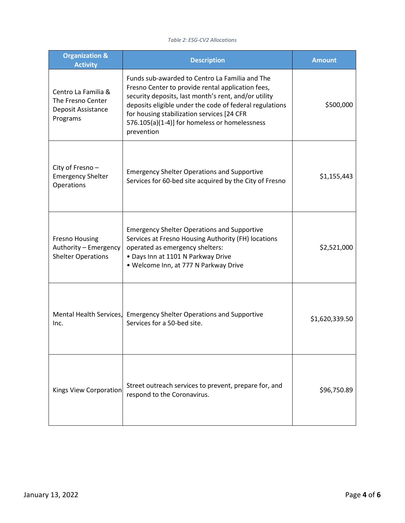### *Table 2: ESG‐CV2 Allocations*

| <b>Organization &amp;</b><br><b>Activity</b>                                | <b>Description</b>                                                                                                                                                                                                                                                                                                                  | <b>Amount</b>  |
|-----------------------------------------------------------------------------|-------------------------------------------------------------------------------------------------------------------------------------------------------------------------------------------------------------------------------------------------------------------------------------------------------------------------------------|----------------|
| Centro La Familia &<br>The Fresno Center<br>Deposit Assistance<br>Programs  | Funds sub-awarded to Centro La Familia and The<br>Fresno Center to provide rental application fees,<br>security deposits, last month's rent, and/or utility<br>deposits eligible under the code of federal regulations<br>for housing stabilization services [24 CFR<br>576.105(a)(1-4)] for homeless or homelessness<br>prevention | \$500,000      |
| City of Fresno-<br><b>Emergency Shelter</b><br>Operations                   | <b>Emergency Shelter Operations and Supportive</b><br>Services for 60-bed site acquired by the City of Fresno                                                                                                                                                                                                                       | \$1,155,443    |
| <b>Fresno Housing</b><br>Authority - Emergency<br><b>Shelter Operations</b> | <b>Emergency Shelter Operations and Supportive</b><br>Services at Fresno Housing Authority (FH) locations<br>operated as emergency shelters:<br>• Days Inn at 1101 N Parkway Drive<br>• Welcome Inn, at 777 N Parkway Drive                                                                                                         | \$2,521,000    |
| Mental Health Services,<br>Inc.                                             | <b>Emergency Shelter Operations and Supportive</b><br>Services for a 50-bed site.                                                                                                                                                                                                                                                   | \$1,620,339.50 |
| Kings View Corporation                                                      | Street outreach services to prevent, prepare for, and<br>respond to the Coronavirus.                                                                                                                                                                                                                                                | \$96,750.89    |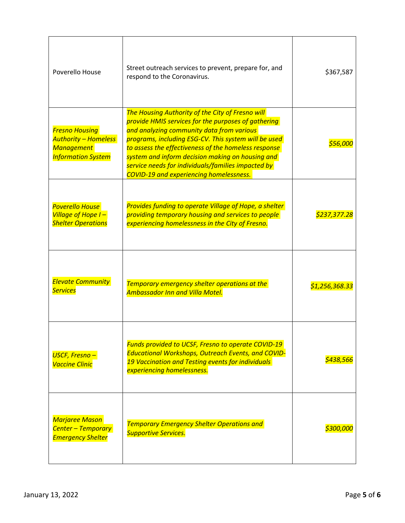| Poverello House                                                                                        | Street outreach services to prevent, prepare for, and<br>respond to the Coronavirus.                                                                                                                                                                                                                                                                                                                                             | \$367,587             |
|--------------------------------------------------------------------------------------------------------|----------------------------------------------------------------------------------------------------------------------------------------------------------------------------------------------------------------------------------------------------------------------------------------------------------------------------------------------------------------------------------------------------------------------------------|-----------------------|
| <b>Fresno Housing</b><br><b>Authority - Homeless</b><br><b>Management</b><br><b>Information System</b> | The Housing Authority of the City of Fresno will<br>provide HMIS services for the purposes of gathering<br>and analyzing community data from various<br>programs, including ESG-CV. This system will be used<br>to assess the effectiveness of the homeless response<br>system and inform decision making on housing and<br>service needs for individuals/families impacted by<br><b>COVID-19 and experiencing homelessness.</b> | <i>S56.00</i>         |
| <b>Poverello House</b><br>Village of Hope I-<br><b>Shelter Operations</b>                              | Provides funding to operate Village of Hope, a shelter<br>providing temporary housing and services to people<br>experiencing homelessness in the City of Fresno.                                                                                                                                                                                                                                                                 | <u>\$237,377.28</u>   |
| <b>Elevate Community</b><br><b>Services</b>                                                            | Temporary emergency shelter operations at the<br><b>Ambassador Inn and Villa Motel.</b>                                                                                                                                                                                                                                                                                                                                          | <u>\$1,256,368.33</u> |
| <b>USCF, Fresno-</b><br><b>Vaccine Clinic</b>                                                          | Funds provided to UCSF, Fresno to operate COVID-19<br><b>Educational Workshops, Outreach Events, and COVID-</b><br>19 Vaccination and Testing events for individuals<br>experiencing homelessness.                                                                                                                                                                                                                               | \$438,566             |
| Marjaree Mason<br><b>Center - Temporary</b><br><b>Emergency Shelter</b>                                | <b>Temporary Emergency Shelter Operations and</b><br><b>Supportive Services.</b>                                                                                                                                                                                                                                                                                                                                                 | \$300,000             |